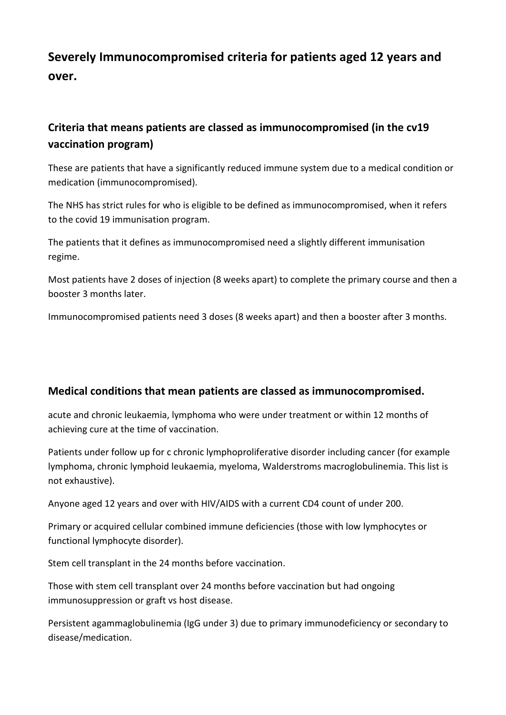## **Severely Immunocompromised criteria for patients aged 12 years and over.**

## **Criteria that means patients are classed as immunocompromised (in the cv19 vaccination program)**

These are patients that have a significantly reduced immune system due to a medical condition or medication (immunocompromised).

The NHS has strict rules for who is eligible to be defined as immunocompromised, when it refers to the covid 19 immunisation program.

The patients that it defines as immunocompromised need a slightly different immunisation regime.

Most patients have 2 doses of injection (8 weeks apart) to complete the primary course and then a booster 3 months later.

Immunocompromised patients need 3 doses (8 weeks apart) and then a booster after 3 months.

## **Medical conditions that mean patients are classed as immunocompromised.**

acute and chronic leukaemia, lymphoma who were under treatment or within 12 months of achieving cure at the time of vaccination.

Patients under follow up for c chronic lymphoproliferative disorder including cancer (for example lymphoma, chronic lymphoid leukaemia, myeloma, Walderstroms macroglobulinemia. This list is not exhaustive).

Anyone aged 12 years and over with HIV/AIDS with a current CD4 count of under 200.

Primary or acquired cellular combined immune deficiencies (those with low lymphocytes or functional lymphocyte disorder).

Stem cell transplant in the 24 months before vaccination.

Those with stem cell transplant over 24 months before vaccination but had ongoing immunosuppression or graft vs host disease.

Persistent agammaglobulinemia (IgG under 3) due to primary immunodeficiency or secondary to disease/medication.